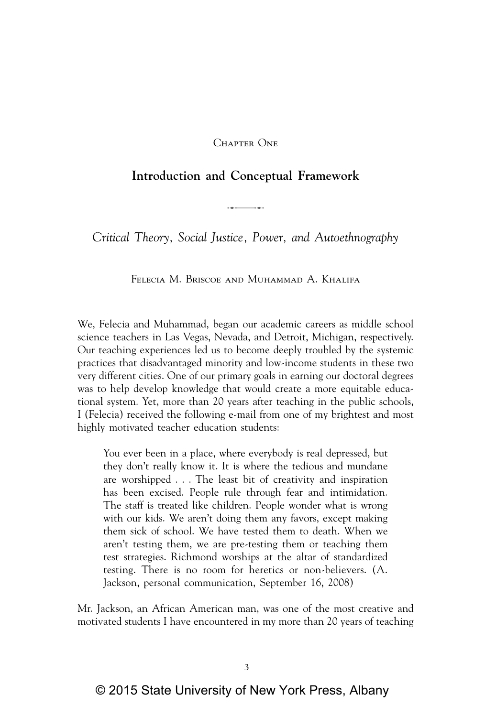CHAPTER ONE

# **Introduction and Conceptual Framework**

--

*Critical Theory, Social Justice, Power, and Autoethnography*

Felecia M. Briscoe and Muhammad A. Khalifa

We, Felecia and Muhammad, began our academic careers as middle school science teachers in Las Vegas, Nevada, and Detroit, Michigan, respectively. Our teaching experiences led us to become deeply troubled by the systemic practices that disadvantaged minority and low-income students in these two very different cities. One of our primary goals in earning our doctoral degrees was to help develop knowledge that would create a more equitable educational system. Yet, more than 20 years after teaching in the public schools, I (Felecia) received the following e-mail from one of my brightest and most highly motivated teacher education students:

You ever been in a place, where everybody is real depressed, but they don't really know it. It is where the tedious and mundane are worshipped . . . The least bit of creativity and inspiration has been excised. People rule through fear and intimidation. The staff is treated like children. People wonder what is wrong with our kids. We aren't doing them any favors, except making them sick of school. We have tested them to death. When we aren't testing them, we are pre-testing them or teaching them test strategies. Richmond worships at the altar of standardized testing. There is no room for heretics or non-believers. (A. Jackson, personal communication, September 16, 2008)

Mr. Jackson, an African American man, was one of the most creative and motivated students I have encountered in my more than 20 years of teaching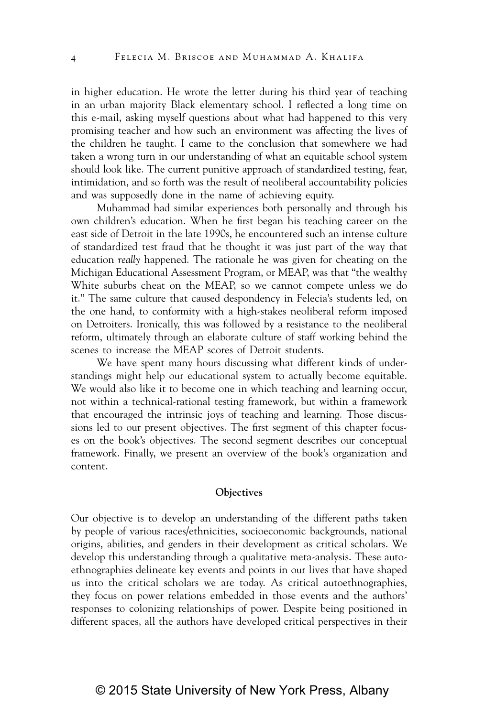in higher education. He wrote the letter during his third year of teaching in an urban majority Black elementary school. I reflected a long time on this e-mail, asking myself questions about what had happened to this very promising teacher and how such an environment was affecting the lives of the children he taught. I came to the conclusion that somewhere we had taken a wrong turn in our understanding of what an equitable school system should look like. The current punitive approach of standardized testing, fear, intimidation, and so forth was the result of neoliberal accountability policies and was supposedly done in the name of achieving equity.

Muhammad had similar experiences both personally and through his own children's education. When he first began his teaching career on the east side of Detroit in the late 1990s, he encountered such an intense culture of standardized test fraud that he thought it was just part of the way that education *really* happened. The rationale he was given for cheating on the Michigan Educational Assessment Program, or MEAP, was that "the wealthy White suburbs cheat on the MEAP, so we cannot compete unless we do it." The same culture that caused despondency in Felecia's students led, on the one hand, to conformity with a high-stakes neoliberal reform imposed on Detroiters. Ironically, this was followed by a resistance to the neoliberal reform, ultimately through an elaborate culture of staff working behind the scenes to increase the MEAP scores of Detroit students.

We have spent many hours discussing what different kinds of understandings might help our educational system to actually become equitable. We would also like it to become one in which teaching and learning occur, not within a technical-rational testing framework, but within a framework that encouraged the intrinsic joys of teaching and learning. Those discussions led to our present objectives. The first segment of this chapter focuses on the book's objectives. The second segment describes our conceptual framework. Finally, we present an overview of the book's organization and content.

#### **Objectives**

Our objective is to develop an understanding of the different paths taken by people of various races/ethnicities, socioeconomic backgrounds, national origins, abilities, and genders in their development as critical scholars. We develop this understanding through a qualitative meta-analysis. These autoethnographies delineate key events and points in our lives that have shaped us into the critical scholars we are today. As critical autoethnographies, they focus on power relations embedded in those events and the authors' responses to colonizing relationships of power. Despite being positioned in different spaces, all the authors have developed critical perspectives in their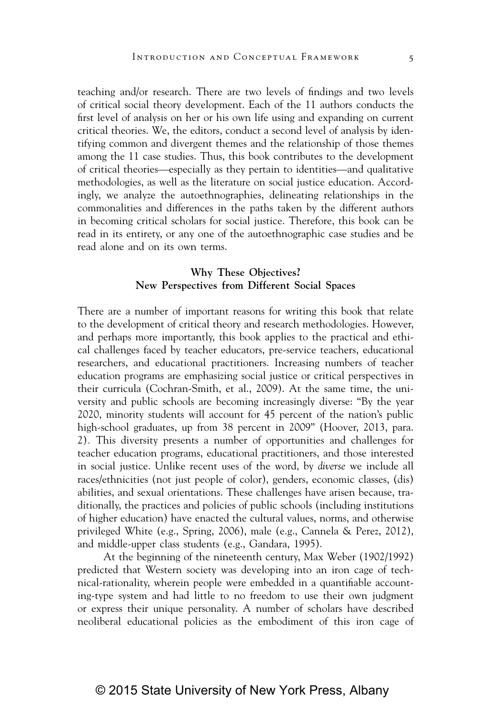teaching and/or research. There are two levels of findings and two levels of critical social theory development. Each of the 11 authors conducts the first level of analysis on her or his own life using and expanding on current critical theories. We, the editors, conduct a second level of analysis by identifying common and divergent themes and the relationship of those themes among the 11 case studies. Thus, this book contributes to the development of critical theories—especially as they pertain to identities—and qualitative methodologies, as well as the literature on social justice education. Accordingly, we analyze the autoethnographies, delineating relationships in the commonalities and differences in the paths taken by the different authors in becoming critical scholars for social justice. Therefore, this book can be read in its entirety, or any one of the autoethnographic case studies and be read alone and on its own terms.

## **Why These Objectives? New Perspectives from Different Social Spaces**

There are a number of important reasons for writing this book that relate to the development of critical theory and research methodologies. However, and perhaps more importantly, this book applies to the practical and ethical challenges faced by teacher educators, pre-service teachers, educational researchers, and educational practitioners. Increasing numbers of teacher education programs are emphasizing social justice or critical perspectives in their curricula (Cochran-Smith, et al., 2009). At the same time, the university and public schools are becoming increasingly diverse: "By the year 2020, minority students will account for 45 percent of the nation's public high-school graduates, up from 38 percent in 2009" (Hoover, 2013, para. 2)*.* This diversity presents a number of opportunities and challenges for teacher education programs, educational practitioners, and those interested in social justice. Unlike recent uses of the word, by *diverse* we include all races/ethnicities (not just people of color), genders, economic classes, (dis) abilities, and sexual orientations. These challenges have arisen because, traditionally, the practices and policies of public schools (including institutions of higher education) have enacted the cultural values, norms, and otherwise privileged White (e.g., Spring, 2006), male (e.g., Cannela & Perez, 2012), and middle-upper class students (e.g., Gandara, 1995).

At the beginning of the nineteenth century, Max Weber (1902/1992) predicted that Western society was developing into an iron cage of technical-rationality, wherein people were embedded in a quantifiable accounting-type system and had little to no freedom to use their own judgment or express their unique personality. A number of scholars have described neoliberal educational policies as the embodiment of this iron cage of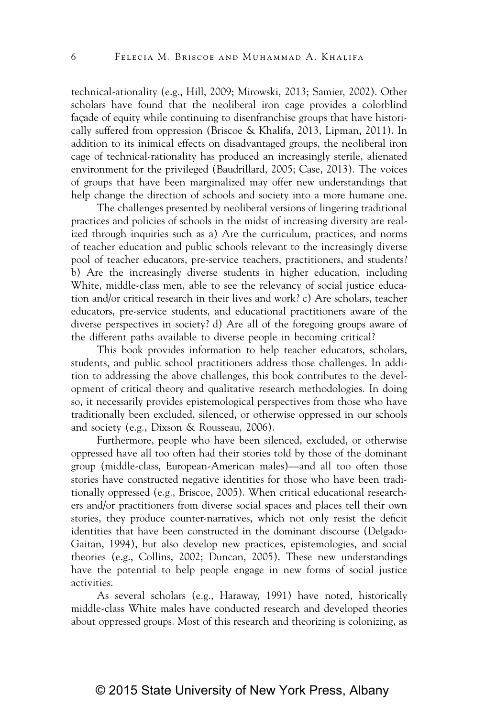technical- ationality (e.g., Hill, 2009; Mirowski, 2013; Samier, 2002). Other scholars have found that the neoliberal iron cage provides a colorblind façade of equity while continuing to disenfranchise groups that have historically suffered from oppression (Briscoe & Khalifa, 2013, Lipman, 2011). In addition to its inimical effects on disadvantaged groups, the neoliberal iron cage of technical-rationality has produced an increasingly sterile, alienated environment for the privileged (Baudrillard, 2005; Case, 2013). The voices of groups that have been marginalized may offer new understandings that help change the direction of schools and society into a more humane one.

The challenges presented by neoliberal versions of lingering traditional practices and policies of schools in the midst of increasing diversity are realized through inquiries such as a) Are the curriculum, practices, and norms of teacher education and public schools relevant to the increasingly diverse pool of teacher educators, pre-service teachers, practitioners, and students? b) Are the increasingly diverse students in higher education, including White, middle-class men, able to see the relevancy of social justice education and/or critical research in their lives and work? c) Are scholars, teacher educators, pre-service students, and educational practitioners aware of the diverse perspectives in society? d) Are all of the foregoing groups aware of the different paths available to diverse people in becoming critical?

This book provides information to help teacher educators, scholars, students, and public school practitioners address those challenges. In addition to addressing the above challenges, this book contributes to the development of critical theory and qualitative research methodologies. In doing so, it necessarily provides epistemological perspectives from those who have traditionally been excluded, silenced, or otherwise oppressed in our schools and society (e.g., Dixson & Rousseau, 2006).

Furthermore, people who have been silenced, excluded, or otherwise oppressed have all too often had their stories told by those of the dominant group (middle-class, European-American males)—and all too often those stories have constructed negative identities for those who have been traditionally oppressed (e.g., Briscoe, 2005). When critical educational researchers and/or practitioners from diverse social spaces and places tell their own stories, they produce counter-narratives, which not only resist the deficit identities that have been constructed in the dominant discourse (Delgado-Gaitan, 1994), but also develop new practices, epistemologies, and social theories (e.g., Collins, 2002; Duncan, 2005). These new understandings have the potential to help people engage in new forms of social justice activities.

As several scholars (e.g., Haraway, 1991) have noted, historically middle-class White males have conducted research and developed theories about oppressed groups. Most of this research and theorizing is colonizing, as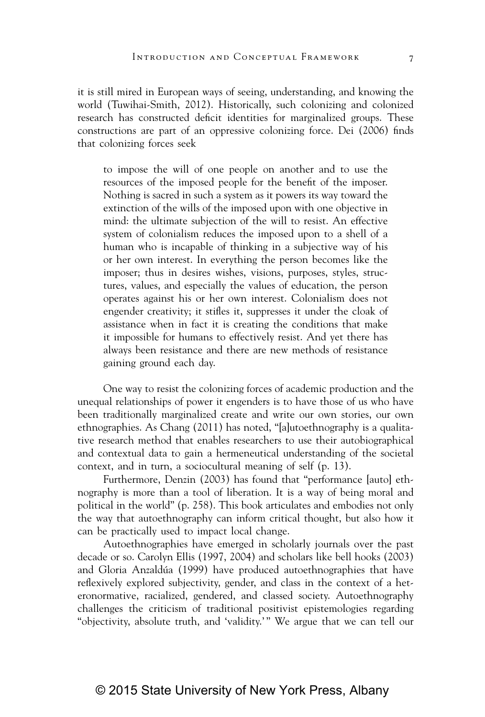it is still mired in European ways of seeing, understanding, and knowing the world (Tuwihai-Smith, 2012). Historically, such colonizing and colonized research has constructed deficit identities for marginalized groups. These constructions are part of an oppressive colonizing force. Dei (2006) finds that colonizing forces seek

to impose the will of one people on another and to use the resources of the imposed people for the benefit of the imposer. Nothing is sacred in such a system as it powers its way toward the extinction of the wills of the imposed upon with one objective in mind: the ultimate subjection of the will to resist. An effective system of colonialism reduces the imposed upon to a shell of a human who is incapable of thinking in a subjective way of his or her own interest. In everything the person becomes like the imposer; thus in desires wishes, visions, purposes, styles, structures, values, and especially the values of education, the person operates against his or her own interest. Colonialism does not engender creativity; it stifles it, suppresses it under the cloak of assistance when in fact it is creating the conditions that make it impossible for humans to effectively resist. And yet there has always been resistance and there are new methods of resistance gaining ground each day.

One way to resist the colonizing forces of academic production and the unequal relationships of power it engenders is to have those of us who have been traditionally marginalized create and write our own stories, our own ethnographies. As Chang (2011) has noted, "[a]utoethnography is a qualitative research method that enables researchers to use their autobiographical and contextual data to gain a hermeneutical understanding of the societal context, and in turn, a sociocultural meaning of self (p. 13).

Furthermore, Denzin (2003) has found that "performance [auto] ethnography is more than a tool of liberation. It is a way of being moral and political in the world" (p. 258). This book articulates and embodies not only the way that autoethnography can inform critical thought, but also how it can be practically used to impact local change.

Autoethnographies have emerged in scholarly journals over the past decade or so. Carolyn Ellis (1997, 2004) and scholars like bell hooks (2003) and Gloria Anzaldúa (1999) have produced autoethnographies that have reflexively explored subjectivity, gender, and class in the context of a heteronormative, racialized, gendered, and classed society. Autoethnography challenges the criticism of traditional positivist epistemologies regarding "objectivity, absolute truth, and 'validity.'" We argue that we can tell our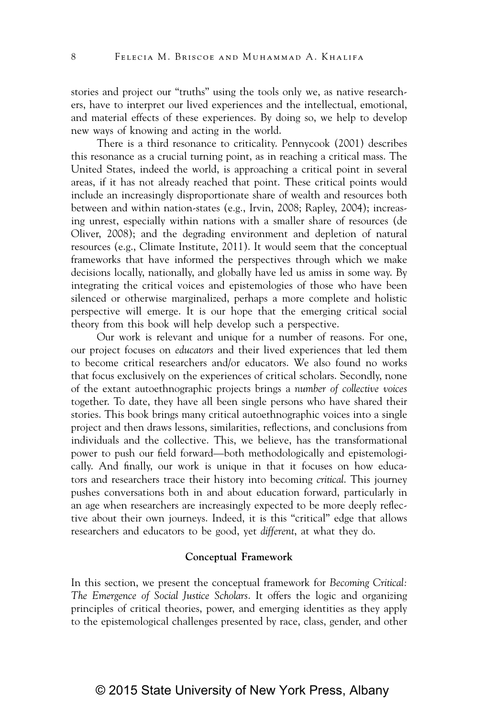stories and project our "truths" using the tools only we, as native researchers, have to interpret our lived experiences and the intellectual, emotional, and material effects of these experiences. By doing so, we help to develop new ways of knowing and acting in the world.

There is a third resonance to criticality. Pennycook (2001) describes this resonance as a crucial turning point, as in reaching a critical mass. The United States, indeed the world, is approaching a critical point in several areas, if it has not already reached that point. These critical points would include an increasingly disproportionate share of wealth and resources both between and within nation-states (e.g., Irvin, 2008; Rapley, 2004); increasing unrest, especially within nations with a smaller share of resources (de Oliver, 2008); and the degrading environment and depletion of natural resources (e.g., Climate Institute, 2011). It would seem that the conceptual frameworks that have informed the perspectives through which we make decisions locally, nationally, and globally have led us amiss in some way. By integrating the critical voices and epistemologies of those who have been silenced or otherwise marginalized, perhaps a more complete and holistic perspective will emerge. It is our hope that the emerging critical social theory from this book will help develop such a perspective.

Our work is relevant and unique for a number of reasons. For one, our project focuses on *educators* and their lived experiences that led them to become critical researchers and/or educators. We also found no works that focus exclusively on the experiences of critical scholars. Secondly, none of the extant autoethnographic projects brings a *number of collective voices* together. To date, they have all been single persons who have shared their stories. This book brings many critical autoethnographic voices into a single project and then draws lessons, similarities, reflections, and conclusions from individuals and the collective. This, we believe, has the transformational power to push our field forward—both methodologically and epistemologically. And finally, our work is unique in that it focuses on how educators and researchers trace their history into becoming *critical*. This journey pushes conversations both in and about education forward, particularly in an age when researchers are increasingly expected to be more deeply reflective about their own journeys. Indeed, it is this "critical" edge that allows researchers and educators to be good, yet *different*, at what they do.

#### **Conceptual Framework**

In this section, we present the conceptual framework for *Becoming Critical: The Emergence of Social Justice Scholars*. It offers the logic and organizing principles of critical theories, power, and emerging identities as they apply to the epistemological challenges presented by race, class, gender, and other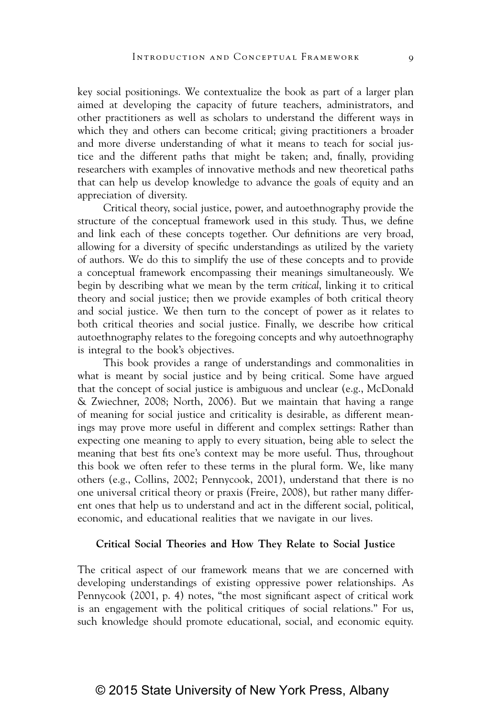key social positionings. We contextualize the book as part of a larger plan aimed at developing the capacity of future teachers, administrators, and other practitioners as well as scholars to understand the different ways in which they and others can become critical; giving practitioners a broader and more diverse understanding of what it means to teach for social justice and the different paths that might be taken; and, finally, providing researchers with examples of innovative methods and new theoretical paths that can help us develop knowledge to advance the goals of equity and an appreciation of diversity.

Critical theory, social justice, power, and autoethnography provide the structure of the conceptual framework used in this study. Thus, we define and link each of these concepts together. Our definitions are very broad, allowing for a diversity of specific understandings as utilized by the variety of authors. We do this to simplify the use of these concepts and to provide a conceptual framework encompassing their meanings simultaneously. We begin by describing what we mean by the term *critical*, linking it to critical theory and social justice; then we provide examples of both critical theory and social justice. We then turn to the concept of power as it relates to both critical theories and social justice. Finally, we describe how critical autoethnography relates to the foregoing concepts and why autoethnography is integral to the book's objectives.

This book provides a range of understandings and commonalities in what is meant by social justice and by being critical. Some have argued that the concept of social justice is ambiguous and unclear (e.g., McDonald & Zwiechner, 2008; North, 2006). But we maintain that having a range of meaning for social justice and criticality is desirable, as different meanings may prove more useful in different and complex settings: Rather than expecting one meaning to apply to every situation, being able to select the meaning that best fits one's context may be more useful. Thus, throughout this book we often refer to these terms in the plural form. We, like many others (e.g., Collins, 2002; Pennycook, 2001), understand that there is no one universal critical theory or praxis (Freire, 2008), but rather many different ones that help us to understand and act in the different social, political, economic, and educational realities that we navigate in our lives.

#### **Critical Social Theories and How They Relate to Social Justice**

The critical aspect of our framework means that we are concerned with developing understandings of existing oppressive power relationships. As Pennycook (2001, p. 4) notes, "the most significant aspect of critical work is an engagement with the political critiques of social relations." For us, such knowledge should promote educational, social, and economic equity.

# © 2015 State University of New York Press, Albany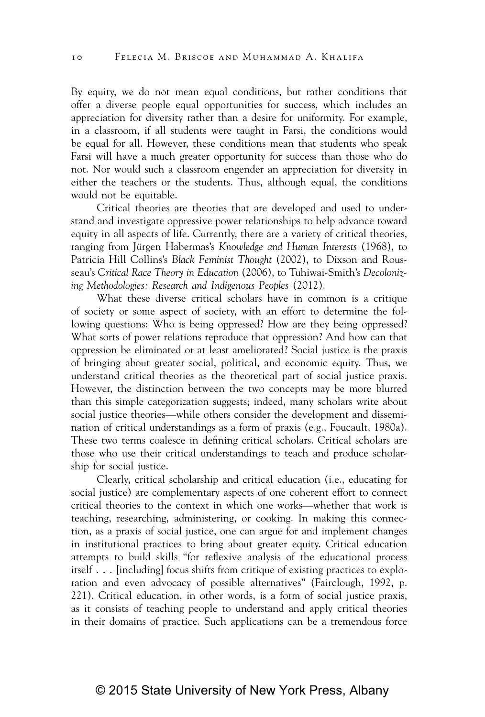By equity, we do not mean equal conditions, but rather conditions that offer a diverse people equal opportunities for success, which includes an appreciation for diversity rather than a desire for uniformity. For example, in a classroom, if all students were taught in Farsi, the conditions would be equal for all. However, these conditions mean that students who speak Farsi will have a much greater opportunity for success than those who do not. Nor would such a classroom engender an appreciation for diversity in either the teachers or the students. Thus, although equal, the conditions would not be equitable.

Critical theories are theories that are developed and used to understand and investigate oppressive power relationships to help advance toward equity in all aspects of life. Currently, there are a variety of critical theories, ranging from Jürgen Habermas's *Knowledge and Human Interests* (1968), to Patricia Hill Collins's *Black Feminist Thought* (2002), to Dixson and Rousseau's *Critical Race Theory in Education* (2006), to Tuhiwai-Smith's *Decolonizing Methodologies: Research and Indigenous Peoples* (2012).

What these diverse critical scholars have in common is a critique of society or some aspect of society, with an effort to determine the following questions: Who is being oppressed? How are they being oppressed? What sorts of power relations reproduce that oppression? And how can that oppression be eliminated or at least ameliorated? Social justice is the praxis of bringing about greater social, political, and economic equity. Thus, we understand critical theories as the theoretical part of social justice praxis. However, the distinction between the two concepts may be more blurred than this simple categorization suggests; indeed, many scholars write about social justice theories—while others consider the development and dissemination of critical understandings as a form of praxis (e.g., Foucault, 1980a). These two terms coalesce in defining critical scholars. Critical scholars are those who use their critical understandings to teach and produce scholarship for social justice.

Clearly, critical scholarship and critical education (i.e., educating for social justice) are complementary aspects of one coherent effort to connect critical theories to the context in which one works—whether that work is teaching, researching, administering, or cooking. In making this connection, as a praxis of social justice, one can argue for and implement changes in institutional practices to bring about greater equity. Critical education attempts to build skills "for reflexive analysis of the educational process itself . . . [including] focus shifts from critique of existing practices to exploration and even advocacy of possible alternatives" (Fairclough, 1992, p. 221). Critical education, in other words, is a form of social justice praxis, as it consists of teaching people to understand and apply critical theories in their domains of practice. Such applications can be a tremendous force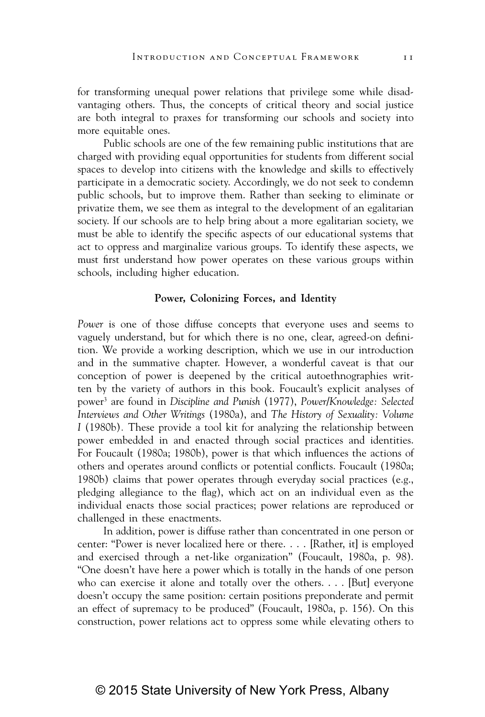for transforming unequal power relations that privilege some while disadvantaging others. Thus, the concepts of critical theory and social justice are both integral to praxes for transforming our schools and society into more equitable ones.

Public schools are one of the few remaining public institutions that are charged with providing equal opportunities for students from different social spaces to develop into citizens with the knowledge and skills to effectively participate in a democratic society. Accordingly, we do not seek to condemn public schools, but to improve them. Rather than seeking to eliminate or privatize them, we see them as integral to the development of an egalitarian society. If our schools are to help bring about a more egalitarian society, we must be able to identify the specific aspects of our educational systems that act to oppress and marginalize various groups. To identify these aspects, we must first understand how power operates on these various groups within schools, including higher education.

#### **Power, Colonizing Forces, and Identity**

*Power* is one of those diffuse concepts that everyone uses and seems to vaguely understand, but for which there is no one, clear, agreed-on definition. We provide a working description, which we use in our introduction and in the summative chapter. However, a wonderful caveat is that our conception of power is deepened by the critical autoethnographies written by the variety of authors in this book. Foucault's explicit analyses of power3 are found in *Discipline and Punish* (1977), *Power/Knowledge: Selected Interviews and Other Writings* (1980a), and *The History of Sexuality: Volume I* (1980b)*.* These provide a tool kit for analyzing the relationship between power embedded in and enacted through social practices and identities. For Foucault (1980a; 1980b), power is that which influences the actions of others and operates around conflicts or potential conflicts. Foucault (1980a; 1980b) claims that power operates through everyday social practices (e.g., pledging allegiance to the flag), which act on an individual even as the individual enacts those social practices; power relations are reproduced or challenged in these enactments.

In addition, power is diffuse rather than concentrated in one person or center: "Power is never localized here or there. . . . [Rather, it] is employed and exercised through a net-like organization" (Foucault, 1980a, p. 98). "One doesn't have here a power which is totally in the hands of one person who can exercise it alone and totally over the others. . . . [But] everyone doesn't occupy the same position: certain positions preponderate and permit an effect of supremacy to be produced" (Foucault, 1980a, p. 156). On this construction, power relations act to oppress some while elevating others to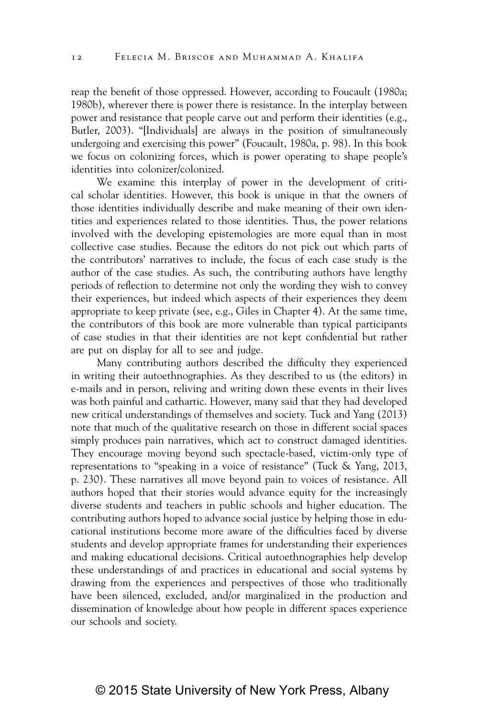reap the benefit of those oppressed. However, according to Foucault (1980a; 1980b), wherever there is power there is resistance. In the interplay between power and resistance that people carve out and perform their identities (e.g., Butler, 2003). "[Individuals] are always in the position of simultaneously undergoing and exercising this power" (Foucault, 1980a, p. 98). In this book we focus on colonizing forces, which is power operating to shape people's identities into colonizer/colonized.

We examine this interplay of power in the development of critical scholar identities. However, this book is unique in that the owners of those identities individually describe and make meaning of their own identities and experiences related to those identities. Thus, the power relations involved with the developing epistemologies are more equal than in most collective case studies. Because the editors do not pick out which parts of the contributors' narratives to include, the focus of each case study is the author of the case studies. As such, the contributing authors have lengthy periods of reflection to determine not only the wording they wish to convey their experiences, but indeed which aspects of their experiences they deem appropriate to keep private (see, e.g., Giles in Chapter 4). At the same time, the contributors of this book are more vulnerable than typical participants of case studies in that their identities are not kept confidential but rather are put on display for all to see and judge.

Many contributing authors described the difficulty they experienced in writing their autoethnographies. As they described to us (the editors) in e-mails and in person, reliving and writing down these events in their lives was both painful and cathartic. However, many said that they had developed new critical understandings of themselves and society. Tuck and Yang (2013) note that much of the qualitative research on those in different social spaces simply produces pain narratives, which act to construct damaged identities. They encourage moving beyond such spectacle-based, victim-only type of representations to "speaking in a voice of resistance" (Tuck & Yang, 2013, p. 230). These narratives all move beyond pain to voices of resistance. All authors hoped that their stories would advance equity for the increasingly diverse students and teachers in public schools and higher education. The contributing authors hoped to advance social justice by helping those in educational institutions become more aware of the difficulties faced by diverse students and develop appropriate frames for understanding their experiences and making educational decisions. Critical autoethnographies help develop these understandings of and practices in educational and social systems by drawing from the experiences and perspectives of those who traditionally have been silenced, excluded, and/or marginalized in the production and dissemination of knowledge about how people in different spaces experience our schools and society.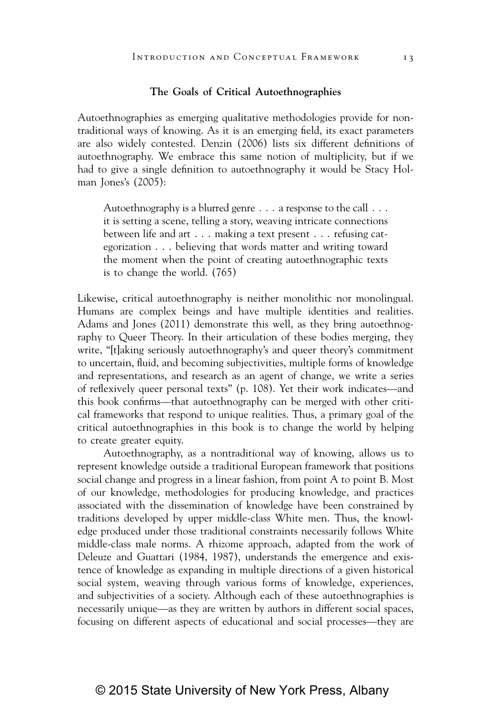#### **The Goals of Critical Autoethnographies**

Autoethnographies as emerging qualitative methodologies provide for nontraditional ways of knowing. As it is an emerging field, its exact parameters are also widely contested. Denzin (2006) lists six different definitions of autoethnography. We embrace this same notion of multiplicity, but if we had to give a single definition to autoethnography it would be Stacy Holman Jones's (2005):

Autoethnography is a blurred genre . . . a response to the call . . . it is setting a scene, telling a story, weaving intricate connections between life and art . . . making a text present . . . refusing categorization . . . believing that words matter and writing toward the moment when the point of creating autoethnographic texts is to change the world. (765)

Likewise, critical autoethnography is neither monolithic nor monolingual. Humans are complex beings and have multiple identities and realities. Adams and Jones (2011) demonstrate this well, as they bring autoethnography to Queer Theory. In their articulation of these bodies merging, they write, "[t]aking seriously autoethnography's and queer theory's commitment to uncertain, fluid, and becoming subjectivities, multiple forms of knowledge and representations, and research as an agent of change, we write a series of reflexively queer personal texts" (p. 108). Yet their work indicates—and this book confirms—that autoethnography can be merged with other critical frameworks that respond to unique realities. Thus, a primary goal of the critical autoethnographies in this book is to change the world by helping to create greater equity.

Autoethnography, as a nontraditional way of knowing, allows us to represent knowledge outside a traditional European framework that positions social change and progress in a linear fashion, from point A to point B. Most of our knowledge, methodologies for producing knowledge, and practices associated with the dissemination of knowledge have been constrained by traditions developed by upper middle-class White men. Thus, the knowledge produced under those traditional constraints necessarily follows White middle-class male norms. A rhizome approach, adapted from the work of Deleuze and Guattari (1984, 1987), understands the emergence and existence of knowledge as expanding in multiple directions of a given historical social system, weaving through various forms of knowledge, experiences, and subjectivities of a society. Although each of these autoethnographies is necessarily unique—as they are written by authors in different social spaces, focusing on different aspects of educational and social processes—they are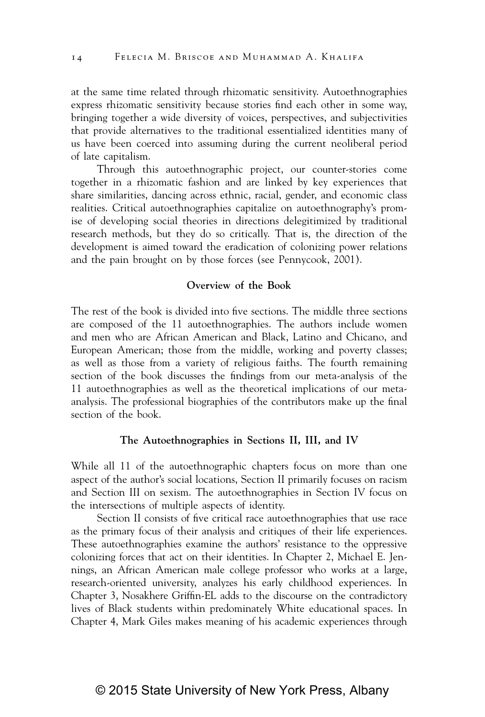at the same time related through rhizomatic sensitivity. Autoethnographies express rhizomatic sensitivity because stories find each other in some way, bringing together a wide diversity of voices, perspectives, and subjectivities that provide alternatives to the traditional essentialized identities many of us have been coerced into assuming during the current neoliberal period of late capitalism.

Through this autoethnographic project, our counter-stories come together in a rhizomatic fashion and are linked by key experiences that share similarities, dancing across ethnic, racial, gender, and economic class realities. Critical autoethnographies capitalize on autoethnography's promise of developing social theories in directions delegitimized by traditional research methods, but they do so critically. That is, the direction of the development is aimed toward the eradication of colonizing power relations and the pain brought on by those forces (see Pennycook, 2001).

# **Overview of the Book**

The rest of the book is divided into five sections. The middle three sections are composed of the 11 autoethnographies. The authors include women and men who are African American and Black, Latino and Chicano, and European American; those from the middle, working and poverty classes; as well as those from a variety of religious faiths. The fourth remaining section of the book discusses the findings from our meta-analysis of the 11 autoethnographies as well as the theoretical implications of our metaanalysis. The professional biographies of the contributors make up the final section of the book.

## **The Autoethnographies in Sections II, III, and IV**

While all 11 of the autoethnographic chapters focus on more than one aspect of the author's social locations, Section II primarily focuses on racism and Section III on sexism. The autoethnographies in Section IV focus on the intersections of multiple aspects of identity.

Section II consists of five critical race autoethnographies that use race as the primary focus of their analysis and critiques of their life experiences. These autoethnographies examine the authors' resistance to the oppressive colonizing forces that act on their identities. In Chapter 2, Michael E. Jennings, an African American male college professor who works at a large, research-oriented university, analyzes his early childhood experiences. In Chapter 3, Nosakhere Griffin-EL adds to the discourse on the contradictory lives of Black students within predominately White educational spaces. In Chapter 4, Mark Giles makes meaning of his academic experiences through